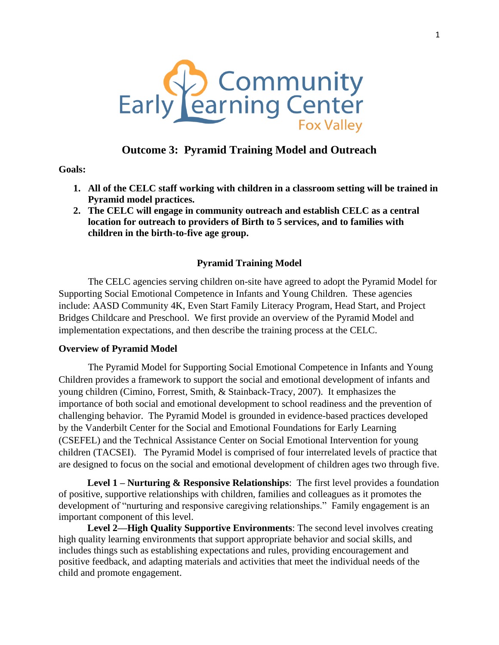

# **Outcome 3: Pyramid Training Model and Outreach**

**Goals:**

- **1. All of the CELC staff working with children in a classroom setting will be trained in Pyramid model practices.**
- **2. The CELC will engage in community outreach and establish CELC as a central location for outreach to providers of Birth to 5 services, and to families with children in the birth-to-five age group.**

### **Pyramid Training Model**

The CELC agencies serving children on-site have agreed to adopt the Pyramid Model for Supporting Social Emotional Competence in Infants and Young Children. These agencies include: AASD Community 4K, Even Start Family Literacy Program, Head Start, and Project Bridges Childcare and Preschool. We first provide an overview of the Pyramid Model and implementation expectations, and then describe the training process at the CELC.

#### **Overview of Pyramid Model**

The Pyramid Model for Supporting Social Emotional Competence in Infants and Young Children provides a framework to support the social and emotional development of infants and young children (Cimino, Forrest, Smith, & Stainback-Tracy, 2007). It emphasizes the importance of both social and emotional development to school readiness and the prevention of challenging behavior. The Pyramid Model is grounded in evidence-based practices developed by the Vanderbilt Center for the Social and Emotional Foundations for Early Learning (CSEFEL) and the Technical Assistance Center on Social Emotional Intervention for young children (TACSEI). The Pyramid Model is comprised of four interrelated levels of practice that are designed to focus on the social and emotional development of children ages two through five.

**Level 1 – Nurturing & Responsive Relationships**: The first level provides a foundation of positive, supportive relationships with children, families and colleagues as it promotes the development of "nurturing and responsive caregiving relationships." Family engagement is an important component of this level.

**Level 2—High Quality Supportive Environments**: The second level involves creating high quality learning environments that support appropriate behavior and social skills, and includes things such as establishing expectations and rules, providing encouragement and positive feedback, and adapting materials and activities that meet the individual needs of the child and promote engagement.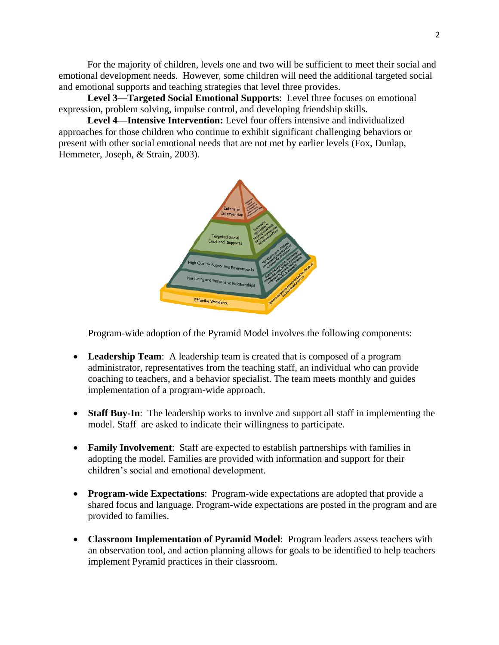For the majority of children, levels one and two will be sufficient to meet their social and emotional development needs. However, some children will need the additional targeted social and emotional supports and teaching strategies that level three provides.

**Level 3—Targeted Social Emotional Supports**: Level three focuses on emotional expression, problem solving, impulse control, and developing friendship skills.

**Level 4—Intensive Intervention:** Level four offers intensive and individualized approaches for those children who continue to exhibit significant challenging behaviors or present with other social emotional needs that are not met by earlier levels (Fox, Dunlap, Hemmeter, Joseph, & Strain, 2003).



Program-wide adoption of the Pyramid Model involves the following components:

- **Leadership Team**: A leadership team is created that is composed of a program administrator, representatives from the teaching staff, an individual who can provide coaching to teachers, and a behavior specialist. The team meets monthly and guides implementation of a program-wide approach.
- **Staff Buy-In**: The leadership works to involve and support all staff in implementing the model. Staff are asked to indicate their willingness to participate.
- **Family Involvement**: Staff are expected to establish partnerships with families in adopting the model. Families are provided with information and support for their children's social and emotional development.
- **Program-wide Expectations**: Program-wide expectations are adopted that provide a shared focus and language. Program-wide expectations are posted in the program and are provided to families.
- **Classroom Implementation of Pyramid Model**: Program leaders assess teachers with an observation tool, and action planning allows for goals to be identified to help teachers implement Pyramid practices in their classroom.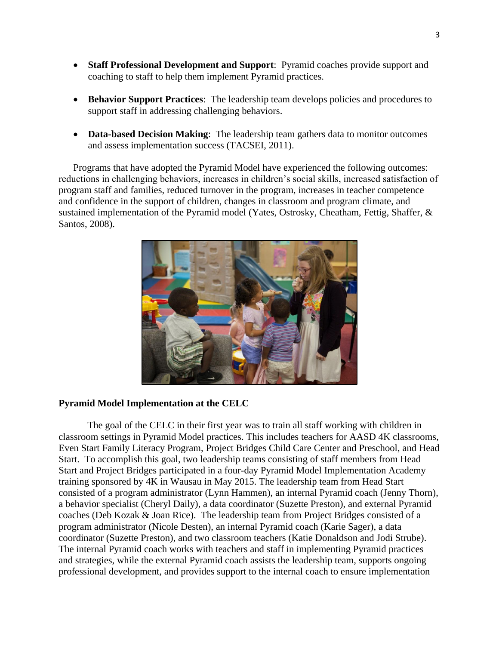- **Staff Professional Development and Support**:Pyramid coaches provide support and coaching to staff to help them implement Pyramid practices.
- **Behavior Support Practices**: The leadership team develops policies and procedures to support staff in addressing challenging behaviors.
- **Data-based Decision Making**: The leadership team gathers data to monitor outcomes and assess implementation success (TACSEI, 2011).

Programs that have adopted the Pyramid Model have experienced the following outcomes: reductions in challenging behaviors, increases in children's social skills, increased satisfaction of program staff and families, reduced turnover in the program, increases in teacher competence and confidence in the support of children, changes in classroom and program climate, and sustained implementation of the Pyramid model (Yates, Ostrosky, Cheatham, Fettig, Shaffer, & Santos, 2008).



## **Pyramid Model Implementation at the CELC**

The goal of the CELC in their first year was to train all staff working with children in classroom settings in Pyramid Model practices. This includes teachers for AASD 4K classrooms, Even Start Family Literacy Program, Project Bridges Child Care Center and Preschool, and Head Start. To accomplish this goal, two leadership teams consisting of staff members from Head Start and Project Bridges participated in a four-day Pyramid Model Implementation Academy training sponsored by 4K in Wausau in May 2015. The leadership team from Head Start consisted of a program administrator (Lynn Hammen), an internal Pyramid coach (Jenny Thorn), a behavior specialist (Cheryl Daily), a data coordinator (Suzette Preston), and external Pyramid coaches (Deb Kozak & Joan Rice). The leadership team from Project Bridges consisted of a program administrator (Nicole Desten), an internal Pyramid coach (Karie Sager), a data coordinator (Suzette Preston), and two classroom teachers (Katie Donaldson and Jodi Strube). The internal Pyramid coach works with teachers and staff in implementing Pyramid practices and strategies, while the external Pyramid coach assists the leadership team, supports ongoing professional development, and provides support to the internal coach to ensure implementation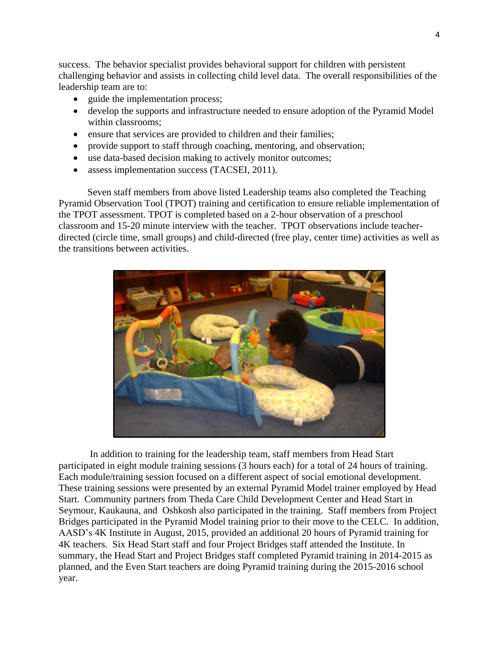success. The behavior specialist provides behavioral support for children with persistent challenging behavior and assists in collecting child level data. The overall responsibilities of the leadership team are to:

- guide the implementation process;
- develop the supports and infrastructure needed to ensure adoption of the Pyramid Model within classrooms;
- ensure that services are provided to children and their families;
- provide support to staff through coaching, mentoring, and observation;
- use data-based decision making to actively monitor outcomes;
- assess implementation success (TACSEI, 2011).

Seven staff members from above listed Leadership teams also completed the Teaching Pyramid Observation Tool (TPOT) training and certification to ensure reliable implementation of the TPOT assessment. TPOT is completed based on a 2-hour observation of a preschool classroom and 15-20 minute interview with the teacher. TPOT observations include teacherdirected (circle time, small groups) and child-directed (free play, center time) activities as well as the transitions between activities.



In addition to training for the leadership team, staff members from Head Start participated in eight module training sessions (3 hours each) for a total of 24 hours of training. Each module/training session focused on a different aspect of social emotional development. These training sessions were presented by an external Pyramid Model trainer employed by Head Start. Community partners from Theda Care Child Development Center and Head Start in Seymour, Kaukauna, and Oshkosh also participated in the training. Staff members from Project Bridges participated in the Pyramid Model training prior to their move to the CELC. In addition, AASD's 4K Institute in August, 2015, provided an additional 20 hours of Pyramid training for 4K teachers. Six Head Start staff and four Project Bridges staff attended the Institute. In summary, the Head Start and Project Bridges staff completed Pyramid training in 2014-2015 as planned, and the Even Start teachers are doing Pyramid training during the 2015-2016 school year.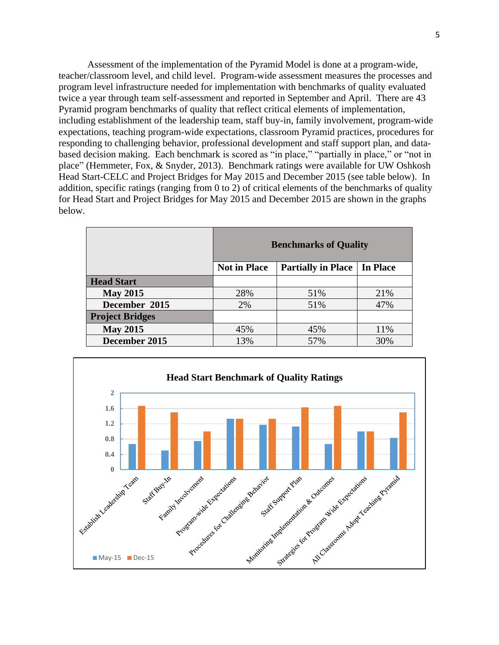Assessment of the implementation of the Pyramid Model is done at a program-wide, teacher/classroom level, and child level. Program-wide assessment measures the processes and program level infrastructure needed for implementation with benchmarks of quality evaluated twice a year through team self-assessment and reported in September and April. There are 43 Pyramid program benchmarks of quality that reflect critical elements of implementation, including establishment of the leadership team, staff buy-in, family involvement, program-wide expectations, teaching program-wide expectations, classroom Pyramid practices, procedures for responding to challenging behavior, professional development and staff support plan, and databased decision making. Each benchmark is scored as "in place," "partially in place," or "not in place" (Hemmeter, Fox, & Snyder, 2013). Benchmark ratings were available for UW Oshkosh Head Start-CELC and Project Bridges for May 2015 and December 2015 (see table below). In addition, specific ratings (ranging from 0 to 2) of critical elements of the benchmarks of quality for Head Start and Project Bridges for May 2015 and December 2015 are shown in the graphs below.

|                        | <b>Benchmarks of Quality</b> |                           |                 |
|------------------------|------------------------------|---------------------------|-----------------|
|                        | <b>Not in Place</b>          | <b>Partially in Place</b> | <b>In Place</b> |
| <b>Head Start</b>      |                              |                           |                 |
| <b>May 2015</b>        | 28%                          | 51%                       | 21%             |
| December 2015          | 2%                           | 51%                       | 47%             |
| <b>Project Bridges</b> |                              |                           |                 |
| <b>May 2015</b>        | 45%                          | 45%                       | 11%             |
| December 2015          | 13%                          | 57%                       | 30%             |

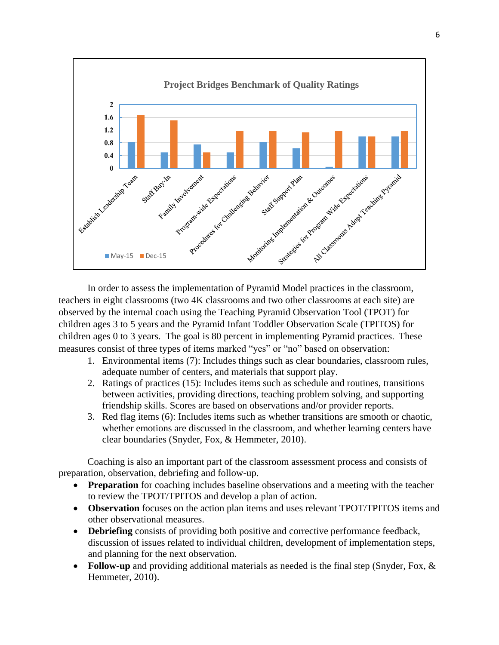

In order to assess the implementation of Pyramid Model practices in the classroom, teachers in eight classrooms (two 4K classrooms and two other classrooms at each site) are observed by the internal coach using the Teaching Pyramid Observation Tool (TPOT) for children ages 3 to 5 years and the Pyramid Infant Toddler Observation Scale (TPITOS) for children ages 0 to 3 years. The goal is 80 percent in implementing Pyramid practices. These measures consist of three types of items marked "yes" or "no" based on observation:

- 1. Environmental items (7): Includes things such as clear boundaries, classroom rules, adequate number of centers, and materials that support play.
- 2. Ratings of practices (15): Includes items such as schedule and routines, transitions between activities, providing directions, teaching problem solving, and supporting friendship skills. Scores are based on observations and/or provider reports.
- 3. Red flag items (6): Includes items such as whether transitions are smooth or chaotic, whether emotions are discussed in the classroom, and whether learning centers have clear boundaries (Snyder, Fox, & Hemmeter, 2010).

Coaching is also an important part of the classroom assessment process and consists of preparation, observation, debriefing and follow-up.

- **Preparation** for coaching includes baseline observations and a meeting with the teacher to review the TPOT/TPITOS and develop a plan of action.
- **Observation** focuses on the action plan items and uses relevant TPOT/TPITOS items and other observational measures.
- **Debriefing** consists of providing both positive and corrective performance feedback, discussion of issues related to individual children, development of implementation steps, and planning for the next observation.
- **Follow-up** and providing additional materials as needed is the final step (Snyder, Fox, & Hemmeter, 2010).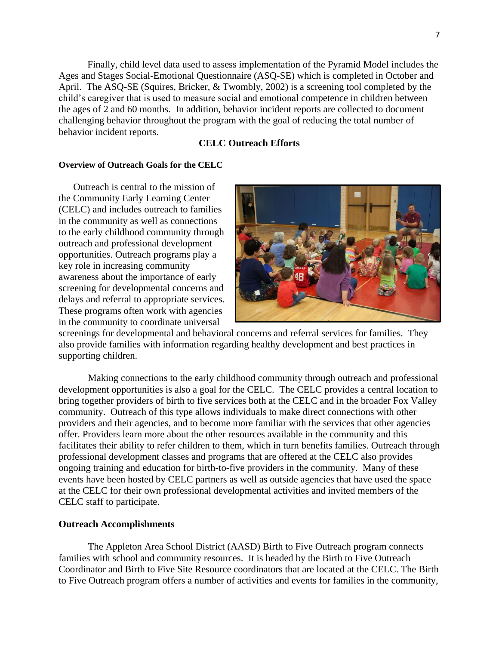Finally, child level data used to assess implementation of the Pyramid Model includes the Ages and Stages Social-Emotional Questionnaire (ASQ-SE) which is completed in October and April. The ASQ-SE (Squires, Bricker, & Twombly, 2002) is a screening tool completed by the child's caregiver that is used to measure social and emotional competence in children between the ages of 2 and 60 months. In addition, behavior incident reports are collected to document challenging behavior throughout the program with the goal of reducing the total number of behavior incident reports.

## **CELC Outreach Efforts**

### **Overview of Outreach Goals for the CELC**

Outreach is central to the mission of the Community Early Learning Center (CELC) and includes outreach to families in the community as well as connections to the early childhood community through outreach and professional development opportunities. Outreach programs play a key role in increasing community awareness about the importance of early screening for developmental concerns and delays and referral to appropriate services. These programs often work with agencies in the community to coordinate universal



screenings for developmental and behavioral concerns and referral services for families. They also provide families with information regarding healthy development and best practices in supporting children.

Making connections to the early childhood community through outreach and professional development opportunities is also a goal for the CELC. The CELC provides a central location to bring together providers of birth to five services both at the CELC and in the broader Fox Valley community. Outreach of this type allows individuals to make direct connections with other providers and their agencies, and to become more familiar with the services that other agencies offer. Providers learn more about the other resources available in the community and this facilitates their ability to refer children to them, which in turn benefits families. Outreach through professional development classes and programs that are offered at the CELC also provides ongoing training and education for birth-to-five providers in the community. Many of these events have been hosted by CELC partners as well as outside agencies that have used the space at the CELC for their own professional developmental activities and invited members of the CELC staff to participate.

#### **Outreach Accomplishments**

The Appleton Area School District (AASD) Birth to Five Outreach program connects families with school and community resources. It is headed by the Birth to Five Outreach Coordinator and Birth to Five Site Resource coordinators that are located at the CELC. The Birth to Five Outreach program offers a number of activities and events for families in the community,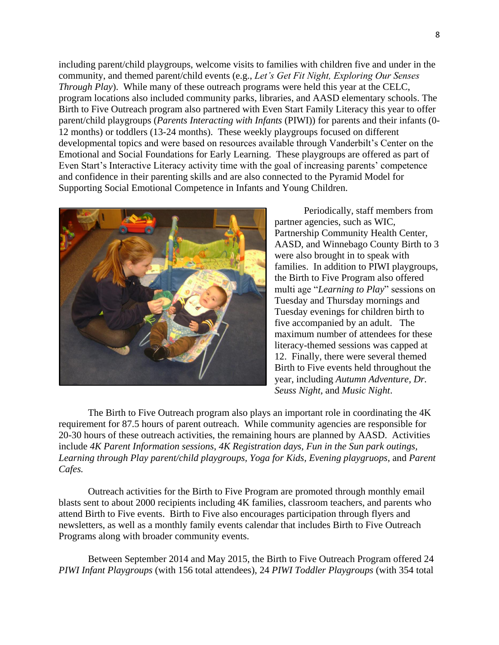including parent/child playgroups, welcome visits to families with children five and under in the community, and themed parent/child events (e.g., *Let's Get Fit Night, Exploring Our Senses Through Play*). While many of these outreach programs were held this year at the CELC, program locations also included community parks, libraries, and AASD elementary schools. The Birth to Five Outreach program also partnered with Even Start Family Literacy this year to offer parent/child playgroups (*Parents Interacting with Infants* (PIWI)) for parents and their infants (0- 12 months) or toddlers (13-24 months). These weekly playgroups focused on different developmental topics and were based on resources available through Vanderbilt's Center on the Emotional and Social Foundations for Early Learning. These playgroups are offered as part of Even Start's Interactive Literacy activity time with the goal of increasing parents' competence and confidence in their parenting skills and are also connected to the Pyramid Model for Supporting Social Emotional Competence in Infants and Young Children.



Periodically, staff members from partner agencies, such as WIC, Partnership Community Health Center, AASD, and Winnebago County Birth to 3 were also brought in to speak with families. In addition to PIWI playgroups, the Birth to Five Program also offered multi age "*Learning to Play*" sessions on Tuesday and Thursday mornings and Tuesday evenings for children birth to five accompanied by an adult. The maximum number of attendees for these literacy-themed sessions was capped at 12. Finally, there were several themed Birth to Five events held throughout the year, including *Autumn Adventure, Dr. Seuss Night,* and *Music Night*.

The Birth to Five Outreach program also plays an important role in coordinating the 4K requirement for 87.5 hours of parent outreach. While community agencies are responsible for 20-30 hours of these outreach activities, the remaining hours are planned by AASD. Activities include *4K Parent Information sessions*, *4K Registration days, Fun in the Sun park outings, Learning through Play parent/child playgroups, Yoga for Kids, Evening playgruops,* and *Parent Cafes.* 

Outreach activities for the Birth to Five Program are promoted through monthly email blasts sent to about 2000 recipients including 4K families, classroom teachers, and parents who attend Birth to Five events. Birth to Five also encourages participation through flyers and newsletters, as well as a monthly family events calendar that includes Birth to Five Outreach Programs along with broader community events.

Between September 2014 and May 2015, the Birth to Five Outreach Program offered 24 *PIWI Infant Playgroups* (with 156 total attendees), 24 *PIWI Toddler Playgroups* (with 354 total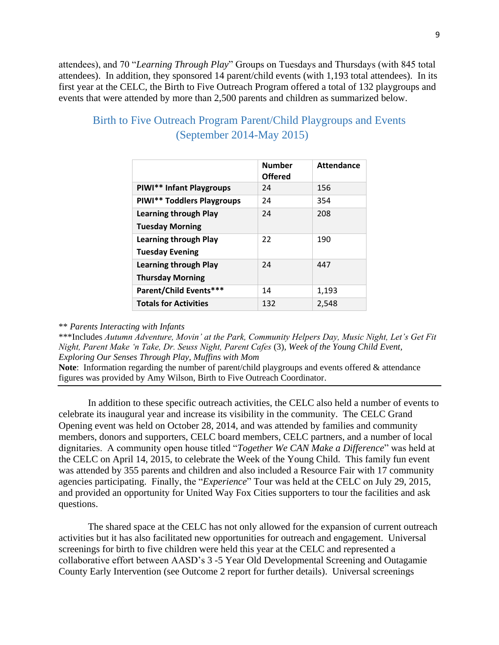attendees), and 70 "*Learning Through Play*" Groups on Tuesdays and Thursdays (with 845 total attendees). In addition, they sponsored 14 parent/child events (with 1,193 total attendees). In its first year at the CELC, the Birth to Five Outreach Program offered a total of 132 playgroups and events that were attended by more than 2,500 parents and children as summarized below.

|                              | <b>Number</b><br><b>Offered</b> | <b>Attendance</b> |
|------------------------------|---------------------------------|-------------------|
| PIWI** Infant Playgroups     | 24                              | 156               |
| PIWI** Toddlers Playgroups   | 24                              | 354               |
| <b>Learning through Play</b> | 24                              | 208               |
| <b>Tuesday Morning</b>       |                                 |                   |
| <b>Learning through Play</b> | 22                              | 190               |
| <b>Tuesday Evening</b>       |                                 |                   |
| <b>Learning through Play</b> | 24                              | 447               |
| <b>Thursday Morning</b>      |                                 |                   |
| Parent/Child Events***       | 14                              | 1,193             |
| <b>Totals for Activities</b> | 132                             | 2,548             |

# Birth to Five Outreach Program Parent/Child Playgroups and Events (September 2014-May 2015)

#### \*\* *Parents Interacting with Infants*

\*\*\*Includes *Autumn Adventure, Movin' at the Park, Community Helpers Day, Music Night, Let's Get Fit Night, Parent Make 'n Take, Dr. Seuss Night, Parent Cafes* (3)*, Week of the Young Child Event, Exploring Our Senses Through Play, Muffins with Mom*

**Note**: Information regarding the number of parent/child playgroups and events offered & attendance figures was provided by Amy Wilson, Birth to Five Outreach Coordinator.

In addition to these specific outreach activities, the CELC also held a number of events to celebrate its inaugural year and increase its visibility in the community. The CELC Grand Opening event was held on October 28, 2014, and was attended by families and community members, donors and supporters, CELC board members, CELC partners, and a number of local dignitaries. A community open house titled "*Together We CAN Make a Difference*" was held at the CELC on April 14, 2015, to celebrate the Week of the Young Child. This family fun event was attended by 355 parents and children and also included a Resource Fair with 17 community agencies participating. Finally, the "*Experience*" Tour was held at the CELC on July 29, 2015, and provided an opportunity for United Way Fox Cities supporters to tour the facilities and ask questions.

The shared space at the CELC has not only allowed for the expansion of current outreach activities but it has also facilitated new opportunities for outreach and engagement. Universal screenings for birth to five children were held this year at the CELC and represented a collaborative effort between AASD's 3 -5 Year Old Developmental Screening and Outagamie County Early Intervention (see Outcome 2 report for further details). Universal screenings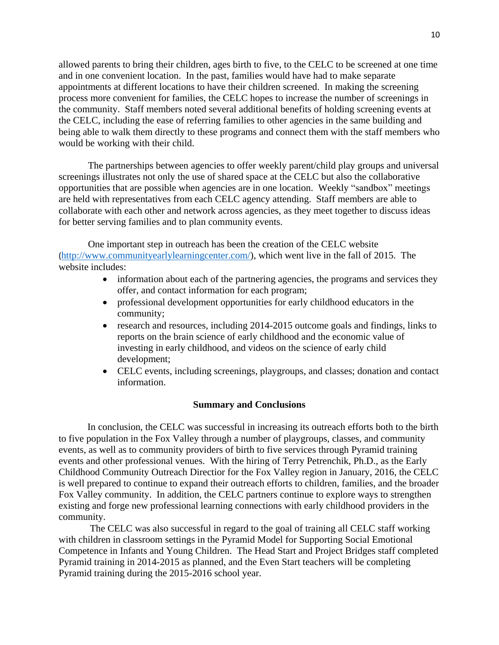allowed parents to bring their children, ages birth to five, to the CELC to be screened at one time and in one convenient location. In the past, families would have had to make separate appointments at different locations to have their children screened. In making the screening process more convenient for families, the CELC hopes to increase the number of screenings in the community. Staff members noted several additional benefits of holding screening events at the CELC, including the ease of referring families to other agencies in the same building and being able to walk them directly to these programs and connect them with the staff members who would be working with their child.

The partnerships between agencies to offer weekly parent/child play groups and universal screenings illustrates not only the use of shared space at the CELC but also the collaborative opportunities that are possible when agencies are in one location. Weekly "sandbox" meetings are held with representatives from each CELC agency attending. Staff members are able to collaborate with each other and network across agencies, as they meet together to discuss ideas for better serving families and to plan community events.

One important step in outreach has been the creation of the CELC website ([http://www.communityearlylearningcenter.com/\)](http://www.communityearlylearningcenter.com/), which went live in the fall of 2015. The website includes:

- information about each of the partnering agencies, the programs and services they offer, and contact information for each program;
- professional development opportunities for early childhood educators in the community;
- research and resources, including 2014-2015 outcome goals and findings, links to reports on the brain science of early childhood and the economic value of investing in early childhood, and videos on the science of early child development;
- CELC events, including screenings, playgroups, and classes; donation and contact information.

#### **Summary and Conclusions**

In conclusion, the CELC was successful in increasing its outreach efforts both to the birth to five population in the Fox Valley through a number of playgroups, classes, and community events, as well as to community providers of birth to five services through Pyramid training events and other professional venues. With the hiring of Terry Petrenchik, Ph.D., as the Early Childhood Community Outreach Directior for the Fox Valley region in January, 2016, the CELC is well prepared to continue to expand their outreach efforts to children, families, and the broader Fox Valley community. In addition, the CELC partners continue to explore ways to strengthen existing and forge new professional learning connections with early childhood providers in the community.

The CELC was also successful in regard to the goal of training all CELC staff working with children in classroom settings in the Pyramid Model for Supporting Social Emotional Competence in Infants and Young Children. The Head Start and Project Bridges staff completed Pyramid training in 2014-2015 as planned, and the Even Start teachers will be completing Pyramid training during the 2015-2016 school year.